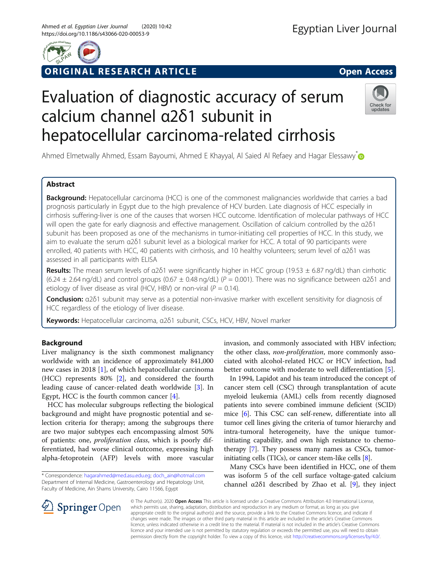

# ORIGINAL RESEARCH ARTICLE **External of the Second Access**

# Evaluation of diagnostic accuracy of serum calcium channel α2δ1 subunit in hepatocellular carcinoma-related cirrhosis



Ahmed Elmetwally Ahmed, Essam Bayoumi, Ahmed E Khayyal, Al Saied Al Refaey and Hagar Elessawy<sup>\*</sup>

# Abstract

Background: Hepatocellular carcinoma (HCC) is one of the commonest malignancies worldwide that carries a bad prognosis particularly in Egypt due to the high prevalence of HCV burden. Late diagnosis of HCC especially in cirrhosis suffering-liver is one of the causes that worsen HCC outcome. Identification of molecular pathways of HCC will open the gate for early diagnosis and effective management. Oscillation of calcium controlled by the α2δ1 subunit has been proposed as one of the mechanisms in tumor-initiating cell properties of HCC. In this study, we aim to evaluate the serum α2δ1 subunit level as a biological marker for HCC. A total of 90 participants were enrolled, 40 patients with HCC, 40 patients with cirrhosis, and 10 healthy volunteers; serum level of α2δ1 was assessed in all participants with ELISA

**Results:** The mean serum levels of  $a2\delta1$  were significantly higher in HCC group (19.53  $\pm$  6.87 ng/dL) than cirrhotic  $(6.24 \pm 2.64 \text{ ng/dL})$  and control groups  $(0.67 \pm 0.48 \text{ ng/dL})$  ( $P = 0.001$ ). There was no significance between  $\alpha$ 2δ1 and etiology of liver disease as viral (HCV, HBV) or non-viral ( $P = 0.14$ ).

Conclusion: α2δ1 subunit may serve as a potential non-invasive marker with excellent sensitivity for diagnosis of HCC regardless of the etiology of liver disease.

Keywords: Hepatocellular carcinoma, α2δ1 subunit, CSCs, HCV, HBV, Novel marker

# Background

Liver malignancy is the sixth commonest malignancy worldwide with an incidence of approximately 841,000 new cases in 2018 [\[1](#page-4-0)], of which hepatocellular carcinoma (HCC) represents 80% [[2](#page-4-0)], and considered the fourth leading cause of cancer-related death worldwide [\[3](#page-4-0)]. In Egypt, HCC is the fourth common cancer [\[4](#page-4-0)].

HCC has molecular subgroups reflecting the biological background and might have prognostic potential and selection criteria for therapy; among the subgroups there are two major subtypes each encompassing almost 50% of patients: one, proliferation class, which is poorly differentiated, had worse clinical outcome, expressing high alpha-fetoprotein (AFP) levels with more vascular

invasion, and commonly associated with HBV infection; the other class, non-proliferation, more commonly associated with alcohol-related HCC or HCV infection, had better outcome with moderate to well differentiation [[5\]](#page-4-0).

In 1994, Lapidot and his team introduced the concept of cancer stem cell (CSC) through transplantation of acute myeloid leukemia (AML) cells from recently diagnosed patients into severe combined immune deficient (SCID) mice [\[6](#page-4-0)]. This CSC can self-renew, differentiate into all tumor cell lines giving the criteria of tumor hierarchy and intra-tumoral heterogeneity, have the unique tumorinitiating capability, and own high resistance to chemotherapy [[7\]](#page-4-0). They possess many names as CSCs, tumorinitiating cells (TICs), or cancer stem-like cells [\[8\]](#page-4-0).

Many CSCs have been identified in HCC, one of them was isoform 5 of the cell surface voltage-gated calcium channel α2δ1 described by Zhao et al. [\[9](#page-5-0)], they inject



© The Author(s). 2020 Open Access This article is licensed under a Creative Commons Attribution 4.0 International License, which permits use, sharing, adaptation, distribution and reproduction in any medium or format, as long as you give appropriate credit to the original author(s) and the source, provide a link to the Creative Commons licence, and indicate if changes were made. The images or other third party material in this article are included in the article's Creative Commons licence, unless indicated otherwise in a credit line to the material. If material is not included in the article's Creative Commons licence and your intended use is not permitted by statutory regulation or exceeds the permitted use, you will need to obtain permission directly from the copyright holder. To view a copy of this licence, visit <http://creativecommons.org/licenses/by/4.0/>.

<sup>\*</sup> Correspondence: [hagarahmed@med.asu.edu.eg;](mailto:hagarahmed@med.asu.edu.eg) [doch\\_ain@hotmail.com](mailto:doch_ain@hotmail.com) Department of Internal Medicine, Gastroenterology and Hepatology Unit, Faculty of Medicine, Ain Shams University, Cairo 11566, Egypt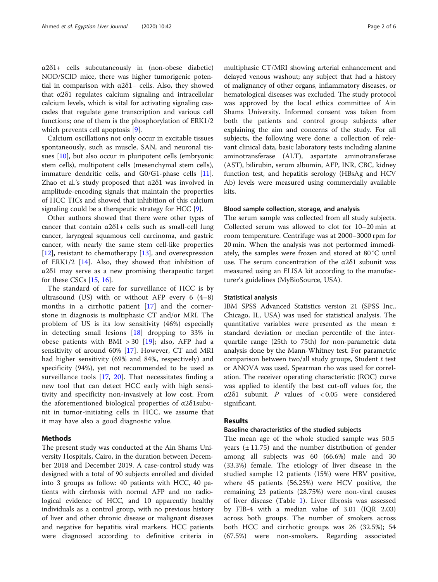α2δ1+ cells subcutaneously in (non-obese diabetic) NOD/SCID mice, there was higher tumorigenic potential in comparison with  $α2δ1-$  cells. Also, they showed that α2δ1 regulates calcium signaling and intracellular calcium levels, which is vital for activating signaling cascades that regulate gene transcription and various cell functions; one of them is the phosphorylation of ERK1/2 which prevents cell apoptosis [[9\]](#page-5-0).

Calcium oscillations not only occur in excitable tissues spontaneously, such as muscle, SAN, and neuronal tissues [[10](#page-5-0)], but also occur in pluripotent cells (embryonic stem cells), multipotent cells (mesenchymal stem cells), immature dendritic cells, and G0/G1-phase cells [\[11](#page-5-0)]. Zhao et al.'s study proposed that α2δ1 was involved in amplitude-encoding signals that maintain the properties of HCC TICs and showed that inhibition of this calcium signaling could be a therapeutic strategy for HCC [\[9](#page-5-0)].

Other authors showed that there were other types of cancer that contain  $\alpha 2\delta 1$ + cells such as small-cell lung cancer, laryngeal squamous cell carcinoma, and gastric cancer, with nearly the same stem cell-like properties [[12\]](#page-5-0), resistant to chemotherapy [[13\]](#page-5-0), and overexpression of ERK1/2  $[14]$  $[14]$ . Also, they showed that inhibition of α2δ1 may serve as a new promising therapeutic target for these CSCs  $[15, 16]$  $[15, 16]$  $[15, 16]$  $[15, 16]$ .

The standard of care for surveillance of HCC is by ultrasound (US) with or without AFP every 6 (4–8) months in a cirrhotic patient [[17\]](#page-5-0) and the cornerstone in diagnosis is multiphasic CT and/or MRI. The problem of US is its low sensitivity (46%) especially in detecting small lesions [\[18](#page-5-0)] dropping to 33% in obese patients with BMI > 30 [\[19](#page-5-0)]; also, AFP had a sensitivity of around 60% [\[17](#page-5-0)]. However, CT and MRI had higher sensitivity (69% and 84%, respectively) and specificity (94%), yet not recommended to be used as surveillance tools [\[17](#page-5-0), [20\]](#page-5-0). That necessitates finding a new tool that can detect HCC early with high sensitivity and specificity non-invasively at low cost. From the aforementioned biological properties of α2δ1subunit in tumor-initiating cells in HCC, we assume that it may have also a good diagnostic value.

### Methods

The present study was conducted at the Ain Shams University Hospitals, Cairo, in the duration between December 2018 and December 2019. A case-control study was designed with a total of 90 subjects enrolled and divided into 3 groups as follow: 40 patients with HCC, 40 patients with cirrhosis with normal AFP and no radiological evidence of HCC, and 10 apparently healthy individuals as a control group, with no previous history of liver and other chronic disease or malignant diseases and negative for hepatitis viral markers. HCC patients were diagnosed according to definitive criteria in multiphasic CT/MRI showing arterial enhancement and delayed venous washout; any subject that had a history of malignancy of other organs, inflammatory diseases, or hematological diseases was excluded. The study protocol was approved by the local ethics committee of Ain Shams University. Informed consent was taken from both the patients and control group subjects after explaining the aim and concerns of the study. For all subjects, the following were done: a collection of relevant clinical data, basic laboratory tests including alanine aminotransferase (ALT), aspartate aminotransferase (AST), bilirubin, serum albumin, AFP, INR, CBC, kidney function test, and hepatitis serology (HBsAg and HCV Ab) levels were measured using commercially available kits.

#### Blood sample collection, storage, and analysis

The serum sample was collected from all study subjects. Collected serum was allowed to clot for 10–20 min at room temperature. Centrifuge was at 2000–3000 rpm for 20 min. When the analysis was not performed immediately, the samples were frozen and stored at 80 °C until use. The serum concentration of the  $\alpha$ 2 $\delta$ 1 subunit was measured using an ELISA kit according to the manufacturer's guidelines (MyBioSource, USA).

# Statistical analysis

IBM SPSS Advanced Statistics version 21 (SPSS Inc., Chicago, IL, USA) was used for statistical analysis. The quantitative variables were presented as the mean ± standard deviation or median percentile of the interquartile range (25th to 75th) for non-parametric data analysis done by the Mann-Whitney test. For parametric comparison between two/all study groups, Student  $t$  test or ANOVA was used. Spearman rho was used for correlation. The receiver operating characteristic (ROC) curve was applied to identify the best cut-off values for, the α2δ1 subunit. P values of < 0.05 were considered significant.

### Results

#### Baseline characteristics of the studied subjects

The mean age of the whole studied sample was 50.5 years  $(\pm 11.75)$  and the number distribution of gender among all subjects was 60 (66.6%) male and 30 (33.3%) female. The etiology of liver disease in the studied sample: 12 patients (15%) were HBV positive, where 45 patients (56.25%) were HCV positive, the remaining 23 patients (28.75%) were non-viral causes of liver disease (Table [1](#page-2-0)). Liver fibrosis was assessed by FIB-4 with a median value of 3.01 (IQR 2.03) across both groups. The number of smokers across both HCC and cirrhotic groups was 26 (32.5%); 54 (67.5%) were non-smokers. Regarding associated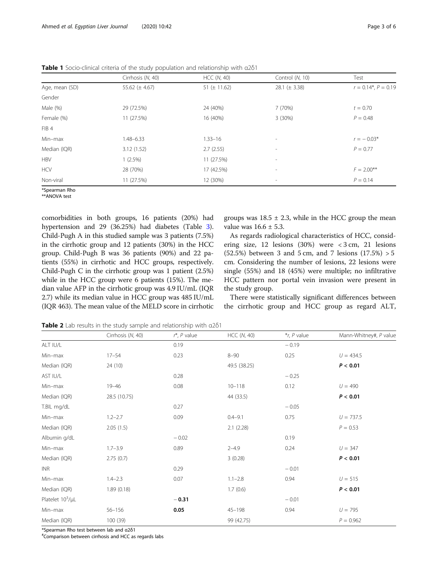|                | Cirrhosis (N, 40)   | HCC (N, 40)       | Control (N, 10)          | Test                      |  |
|----------------|---------------------|-------------------|--------------------------|---------------------------|--|
| Age, mean (SD) | 55.62 ( $\pm$ 4.67) | 51 ( $\pm$ 11.62) | 28.1 ( $\pm$ 3.38)       | $r = 0.14^*$ , $P = 0.19$ |  |
| Gender         |                     |                   |                          |                           |  |
| Male (%)       | 29 (72.5%)          | 24 (40%)          | 7 (70%)                  | $t = 0.70$                |  |
| Female (%)     | 11 (27.5%)          | 16 (40%)          | 3(30%)                   | $P = 0.48$                |  |
| FIB 4          |                     |                   |                          |                           |  |
| Min-max        | $1.48 - 6.33$       | $1.33 - 16$       | $\overline{\phantom{a}}$ | $r = -0.03*$              |  |
| Median (IQR)   | 3.12(1.52)          | 2.7(2.55)         | $\overline{\phantom{a}}$ | $P = 0.77$                |  |
| <b>HBV</b>     | 1(2.5%)             | 11 (27.5%)        | $\overline{\phantom{a}}$ |                           |  |
| <b>HCV</b>     | 28 (70%)            | 17 (42.5%)        | $\overline{\phantom{a}}$ | $F = 2.00^{**}$           |  |
| Non-viral      | 11 (27.5%)          | 12 (30%)          | $\overline{\phantom{a}}$ | $P = 0.14$                |  |
| *Spearman Rho  |                     |                   |                          |                           |  |

<span id="page-2-0"></span>Table 1 Socio-clinical criteria of the study population and relationship with α2δ1

\*\*ANOVA test

comorbidities in both groups, 16 patients (20%) had hypertension and 29 (36.25%) had diabetes (Table [3](#page-3-0)). Child-Pugh A in this studied sample was 3 patients (7.5%) in the cirrhotic group and 12 patients (30%) in the HCC group. Child-Pugh B was 36 patients (90%) and 22 patients (55%) in cirrhotic and HCC groups, respectively. Child-Pugh C in the cirrhotic group was 1 patient (2.5%) while in the HCC group were 6 patients (15%). The median value AFP in the cirrhotic group was 4.9 IU/mL (IQR 2.7) while its median value in HCC group was 485 IU/mL (IQR 463). The mean value of the MELD score in cirrhotic

groups was  $18.5 \pm 2.3$ , while in the HCC group the mean value was  $16.6 \pm 5.3$ .

As regards radiological characteristics of HCC, considering size, 12 lesions (30%) were < 3 cm, 21 lesions (52.5%) between 3 and 5 cm, and 7 lesions  $(17.5\%) > 5$ cm. Considering the number of lesions, 22 lesions were single (55%) and 18 (45%) were multiple; no infiltrative HCC pattern nor portal vein invasion were present in the study group.

There were statistically significant differences between the cirrhotic group and HCC group as regard ALT,

Table 2 Lab results in the study sample and relationship with  $\alpha$ 2 $\delta$ 1

|                       | Cirrhosis (N, 40) | $r^*$ , $P$ value | <b>HCC (N, 40)</b> | $*_r$ , P value | Mann-Whitney#, P value |
|-----------------------|-------------------|-------------------|--------------------|-----------------|------------------------|
| ALT IU/L              |                   | 0.19              |                    | $-0.19$         |                        |
| Min-max               | $17 - 54$         | 0.23              | $8 - 90$           | 0.25            | $U = 434.5$            |
| Median (IQR)          | 24 (10)           |                   | 49.5 (38.25)       |                 | P < 0.01               |
| AST IU/L              |                   | 0.28              |                    | $-0.25$         |                        |
| Min-max               | $19 - 46$         | 0.08              | $10 - 118$         | 0.12            | $U = 490$              |
| Median (IQR)          | 28.5 (10.75)      |                   | 44 (33.5)          |                 | P < 0.01               |
| T.BIL mg/dL           |                   | 0.27              |                    | $-0.05$         |                        |
| Min-max               | $1.2 - 2.7$       | 0.09              | $0.4 - 9.1$        | 0.75            | $U = 737.5$            |
| Median (IQR)          | 2.05(1.5)         |                   | 2.1(2.28)          |                 | $P = 0.53$             |
| Albumin g/dL          |                   | $-0.02$           |                    | 0.19            |                        |
| Min-max               | $1.7 - 3.9$       | 0.89              | $2 - 4.9$          | 0.24            | $U = 347$              |
| Median (IQR)          | 2.75(0.7)         |                   | 3(0.28)            |                 | P < 0.01               |
| <b>INR</b>            |                   | 0.29              |                    | $-0.01$         |                        |
| Min-max               | $1.4 - 2.3$       | 0.07              | $1.1 - 2.8$        | 0.94            | $U = 515$              |
| Median (IQR)          | 1.89(0.18)        |                   | 1.7(0.6)           |                 | P < 0.01               |
| Platelet $10^3/\mu L$ |                   | $-0.31$           |                    | $-0.01$         |                        |
| Min-max               | $56 - 156$        | 0.05              | $45 - 198$         | 0.94            | $U = 795$              |
| Median (IQR)          | 100 (39)          |                   | 99 (42.75)         |                 | $P = 0.962$            |

\*Spearman Rho test between lab and <sup>α</sup>2δ<sup>1</sup> #

Comparison between cirrhosis and HCC as regards labs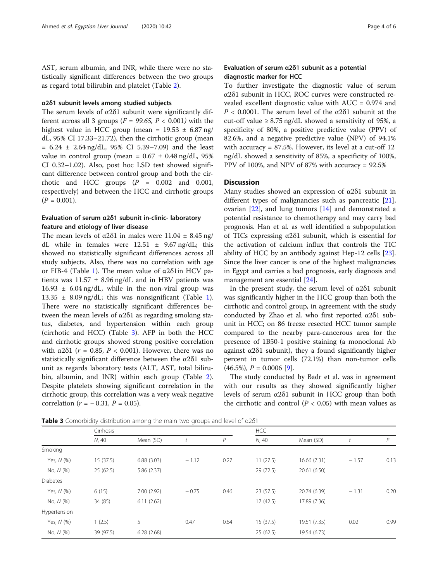<span id="page-3-0"></span>AST, serum albumin, and INR, while there were no statistically significant differences between the two groups as regard total bilirubin and platelet (Table [2\)](#page-2-0).

#### α2δ1 subunit levels among studied subjects

The serum levels of  $\alpha$ 2 $\delta$ 1 subunit were significantly different across all 3 groups ( $F = 99.65$ ,  $P < 0.001$ ) with the highest value in HCC group (mean =  $19.53 \pm 6.87$  ng/ dL, 95% CI 17.33–21.72), then the cirrhotic group (mean  $= 6.24 \pm 2.64$  ng/dL, 95% CI 5.39-7.09) and the least value in control group (mean =  $0.67 \pm 0.48$  ng/dL, 95% CI 0.32–1.02). Also, post hoc LSD test showed significant difference between control group and both the cirrhotic and HCC groups  $(P = 0.002$  and 0.001, respectively) and between the HCC and cirrhotic groups  $(P = 0.001)$ .

# Evaluation of serum α2δ1 subunit in-clinic- laboratory feature and etiology of liver disease

The mean levels of  $\alpha$ 2 $\delta$ 1 in males were 11.04  $\pm$  8.45 ng/ dL while in females were  $12.51 \pm 9.67$  ng/dL; this showed no statistically significant differences across all study subjects. Also, there was no correlation with age or FIB-4 (Table [1\)](#page-2-0). The mean value of  $α2δ1$ in HCV patients was  $11.57 \pm 8.96$  ng/dL and in HBV patients was  $16.93 \pm 6.04$  ng/dL, while in the non-viral group was 13.35 ± 8.09 ng/dL; this was nonsignificant (Table [1](#page-2-0)). There were no statistically significant differences between the mean levels of α2δ1 as regarding smoking status, diabetes, and hypertension within each group (cirrhotic and HCC) (Table 3). AFP in both the HCC and cirrhotic groups showed strong positive correlation with α2δ1 ( $r = 0.85$ ,  $P < 0.001$ ). However, there was no statistically significant difference between the α2δ1 subunit as regards laboratory tests (ALT, AST, total bilirubin, albumin, and INR) within each group (Table [2](#page-2-0)). Despite platelets showing significant correlation in the cirrhotic group, this correlation was a very weak negative correlation ( $r = -0.31$ ,  $P = 0.05$ ).

# Evaluation of serum α2δ1 subunit as a potential diagnostic marker for HCC

To further investigate the diagnostic value of serum α2δ1 subunit in HCC, ROC curves were constructed revealed excellent diagnostic value with AUC = 0.974 and  $P$  < 0.0001. The serum level of the α2δ1 subunit at the cut-off value  $\geq 8.75$  ng/dL showed a sensitivity of 95%, a specificity of 80%, a positive predictive value (PPV) of 82.6%, and a negative predictive value (NPV) of 94.1% with accuracy = 87.5%. However, its level at a cut-off 12 ng/dL showed a sensitivity of 85%, a specificity of 100%, PPV of 100%, and NPV of 87% with accuracy = 92.5%

#### **Discussion**

Many studies showed an expression of  $\alpha$ 2 $\delta$ 1 subunit in different types of malignancies such as pancreatic [\[21](#page-5-0)], ovarian [[22\]](#page-5-0), and lung tumors [\[14](#page-5-0)] and demonstrated a potential resistance to chemotherapy and may carry bad prognosis. Han et al. as well identified a subpopulation of TICs expressing α2δ1 subunit, which is essential for the activation of calcium influx that controls the TIC ability of HCC by an antibody against Hep-12 cells [\[23](#page-5-0)]. Since the liver cancer is one of the highest malignancies in Egypt and carries a bad prognosis, early diagnosis and management are essential [\[24](#page-5-0)].

In the present study, the serum level of α2δ1 subunit was significantly higher in the HCC group than both the cirrhotic and control group, in agreement with the study conducted by Zhao et al. who first reported α2δ1 subunit in HCC; on 86 freeze resected HCC tumor sample compared to the nearby para-cancerous area for the presence of 1B50-1 positive staining (a monoclonal Ab against  $\alpha$ 2 $\delta$ 1 subunit), they a found significantly higher percent in tumor cells (72.1%) than non-tumor cells  $(46.5\%), P = 0.0006$  [[9\]](#page-5-0).

The study conducted by Badr et al. was in agreement with our results as they showed significantly higher levels of serum α2δ1 subunit in HCC group than both the cirrhotic and control ( $P < 0.05$ ) with mean values as

Cirrhosis HCC

Table 3 Comorbidity distribution among the main two groups and level of α2δ1

|                 | N, 40     | Mean (SD)  |         | P    | N, 40     | Mean (SD)    |         | D    |
|-----------------|-----------|------------|---------|------|-----------|--------------|---------|------|
| Smoking         |           |            |         |      |           |              |         |      |
| Yes, N (%)      | 15(37.5)  | 6.88(3.03) | $-1.12$ | 0.27 | 11(27.5)  | 16.66 (7.31) | $-1.57$ | 0.13 |
| No, N (%)       | 25(62.5)  | 5.86(2.37) |         |      | 29 (72.5) | 20.61 (6.50) |         |      |
| <b>Diabetes</b> |           |            |         |      |           |              |         |      |
| Yes, N (%)      | 6(15)     | 7.00(2.92) | $-0.75$ | 0.46 | 23 (57.5) | 20.74 (6.39) | $-1.31$ | 0.20 |
| No, N (%)       | 34 (85)   | 6.11(2.62) |         |      | 17(42.5)  | 17.89 (7.36) |         |      |
| Hypertension    |           |            |         |      |           |              |         |      |
| Yes, N (%)      | 1(2.5)    | 5          | 0.47    | 0.64 | 15 (37.5) | 19.51 (7.35) | 0.02    | 0.99 |
| No, N (%)       | 39 (97.5) | 6.28(2.68) |         |      | 25(62.5)  | 19.54 (6.73) |         |      |
|                 |           |            |         |      |           |              |         |      |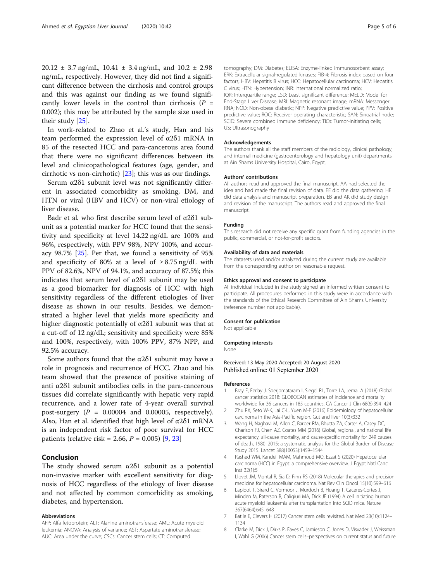<span id="page-4-0"></span> $20.12 \pm 3.7$  ng/mL,  $10.41 \pm 3.4$  ng/mL, and  $10.2 \pm 2.98$ ng/mL, respectively. However, they did not find a significant difference between the cirrhosis and control groups and this was against our finding as we found significantly lower levels in the control than cirrhosis  $(P =$ 0.002); this may be attributed by the sample size used in their study [[25\]](#page-5-0).

In work-related to Zhao et al.'s study, Han and his team performed the expression level of α2δ1 mRNA in 85 of the resected HCC and para-cancerous area found that there were no significant differences between its level and clinicopathological features (age, gender, and cirrhotic vs non-cirrhotic) [\[23](#page-5-0)]; this was as our findings.

Serum  $\alpha$ 2 $\delta$ 1 subunit level was not significantly different in associated comorbidity as smoking, DM, and HTN or viral (HBV and HCV) or non-viral etiology of liver disease.

Badr et al. who first describe serum level of α2δ1 subunit as a potential marker for HCC found that the sensitivity and specificity at level 14.22 ng/dL are 100% and 96%, respectively, with PPV 98%, NPV 100%, and accuracy 98.7% [\[25](#page-5-0)]. Per that, we found a sensitivity of 95% and specificity of 80% at a level of  $\geq 8.75$  ng/dL with PPV of 82.6%, NPV of 94.1%, and accuracy of 87.5%; this indicates that serum level of  $\alpha$ 2 $\delta$ 1 subunit may be used as a good biomarker for diagnosis of HCC with high sensitivity regardless of the different etiologies of liver disease as shown in our results. Besides, we demonstrated a higher level that yields more specificity and higher diagnostic potentially of  $\alpha$ 2 $\delta$ 1 subunit was that at a cut-off of 12 ng/dL; sensitivity and specificity were 85% and 100%, respectively, with 100% PPV, 87% NPP, and 92.5% accuracy.

Some authors found that the  $\alpha$ 2 $\delta$ 1 subunit may have a role in prognosis and recurrence of HCC. Zhao and his team showed that the presence of positive staining of anti α2δ1 subunit antibodies cells in the para-cancerous tissues did correlate significantly with hepatic very rapid recurrence, and a lower rate of 4-year overall survival post-surgery  $(P = 0.00004$  and 0.00005, respectively). Also, Han et al. identified that high level of α2δ1 mRNA is an independent risk factor of poor survival for HCC patients (relative risk = 2.66,  $P = 0.005$ ) [\[9](#page-5-0), [23](#page-5-0)]

# Conclusion

The study showed serum  $\alpha$ 2 $\delta$ 1 subunit as a potential non-invasive marker with excellent sensitivity for diagnosis of HCC regardless of the etiology of liver disease and not affected by common comorbidity as smoking, diabetes, and hypertension.

#### Abbreviations

AFP: Alfa fetoprotein; ALT: Alanine aminotransferase; AML: Acute myeloid leukemia; ANOVA: Analysis of variance; AST: Aspartate aminotransferase; AUC: Area under the curve; CSCs: Cancer stem cells; CT: Computed

tomography; DM: Diabetes; ELISA: Enzyme-linked immunosorbent assay; ERK: Extracellular signal-regulated kinases; FIB-4: Fibrosis index based on four factors; HBV: Hepatitis B virus; HCC: Hepatocellular carcinoma; HCV: Hepatitis C virus; HTN: Hypertension; INR: International normalized ratio; IQR: Interquartile range; LSD: Least significant difference; MELD: Model for End-Stage Liver Disease; MRI: Magnetic resonant image; mRNA: Messenger RNA; NOD: Non-obese diabetic; NPP: Negative predictive value; PPV: Positive predictive value; ROC: Receiver operating characteristic; SAN: Sinoatrial node; SCID: Severe combined immune deficiency; TICs: Tumor-initiating cells; US: Ultrasonography

#### Acknowledgements

The authors thank all the staff members of the radiology, clinical pathology, and internal medicine (gastroenterology and hepatology unit) departments at Ain Shams University Hospital, Cairo, Egypt.

#### Authors' contributions

All authors read and approved the final manuscript. AA had selected the idea and had made the final revision of data. EE did the data gathering. HE did data analysis and manuscript preparation. EB and AK did study design and revision of the manuscript. The authors read and approved the final manuscript.

#### Funding

This research did not receive any specific grant from funding agencies in the public, commercial, or not-for-profit sectors.

#### Availability of data and materials

The datasets used and/or analyzed during the current study are available from the corresponding author on reasonable request.

#### Ethics approval and consent to participate

All individual included in the study signed an informed written consent to participate. All procedures performed in this study were in accordance with the standards of the Ethical Research Committee of Ain Shams University (reference number not applicable).

#### Consent for publication

Not applicable

#### Competing interests

None

Received: 13 May 2020 Accepted: 20 August 2020 Published online: 01 September 2020

#### References

- 1. Bray F, Ferlay J, Soerjomataram I, Siegel RL, Torre LA, Jemal A (2018) Global cancer statistics 2018: GLOBOCAN estimates of incidence and mortality worldwide for 36 cancers in 185 countries. CA Cancer J Clin 68(6):394–424
- 2. Zhu RX, Seto W-K, Lai C-L, Yuen M-F (2016) Epidemiology of hepatocellular carcinoma in the Asia-Pacific region. Gut and liver 10(3):332
- 3. Wang H, Naghavi M, Allen C, Barber RM, Bhutta ZA, Carter A, Casey DC, Charlson FJ, Chen AZ, Coates MM (2016) Global, regional, and national life expectancy, all-cause mortality, and cause-specific mortality for 249 causes of death, 1980–2015: a systematic analysis for the Global Burden of Disease Study 2015. Lancet 388(10053):1459–1544
- 4. Rashed WM, Kandeil MAM, Mahmoud MO, Ezzat S (2020) Hepatocellular carcinoma (HCC) in Egypt: a comprehensive overview. J Egypt Natl Canc Inst 32(1):5
- Llovet JM, Montal R, Sia D, Finn RS (2018) Molecular therapies and precision medicine for hepatocellular carcinoma. Nat Rev Clin Oncol 15(10):599–616
- 6. Lapidot T, Sirard C, Vormoor J, Murdoch B, Hoang T, Caceres-Cortes J, Minden M, Paterson B, Caligiuri MA, Dick JE (1994) A cell initiating human acute myeloid leukaemia after transplantation into SCID mice. Nature 367(6464):645–648
- 7. Batlle E, Clevers H (2017) Cancer stem cells revisited. Nat Med 23(10):1124– 1134
- 8. Clarke M, Dick J, Dirks P, Eaves C, Jamieson C, Jones D, Visvader J, Weissman I, Wahl G (2006) Cancer stem cells–perspectives on current status and future